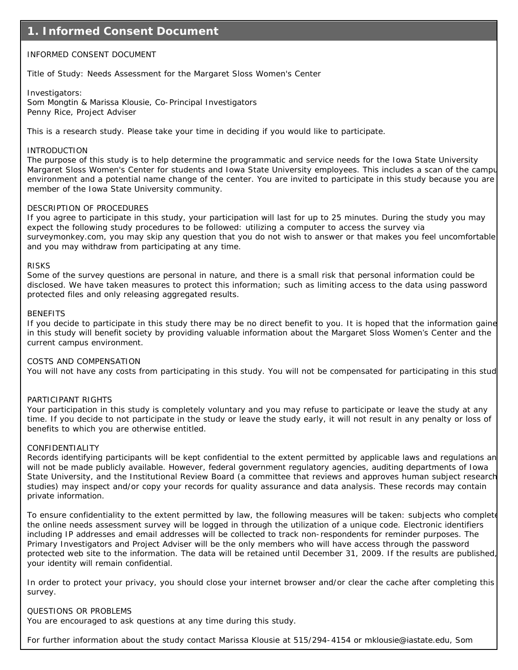### **1. Informed Consent Document**

#### INFORMED CONSENT DOCUMENT

Title of Study: Needs Assessment for the Margaret Sloss Women's Center

Investigators:

Som Mongtin & Marissa Klousie, Co-Principal Investigators Penny Rice, Project Adviser

This is a research study. Please take your time in deciding if you would like to participate.

#### INTRODUCTION

The purpose of this study is to help determine the programmatic and service needs for the Iowa State University Margaret Sloss Women's Center for students and Iowa State University employees. This includes a scan of the campu environment and a potential name change of the center. You are invited to participate in this study because you are member of the Iowa State University community.

#### DESCRIPTION OF PROCEDURES

If you agree to participate in this study, your participation will last for up to 25 minutes. During the study you may expect the following study procedures to be followed: utilizing a computer to access the survey via surveymonkey.com, you may skip any question that you do not wish to answer or that makes you feel uncomfortable and you may withdraw from participating at any time.

#### RISKS

Some of the survey questions are personal in nature, and there is a small risk that personal information could be disclosed. We have taken measures to protect this information; such as limiting access to the data using password protected files and only releasing aggregated results.

#### **BENEFITS**

If you decide to participate in this study there may be no direct benefit to you. It is hoped that the information gaine in this study will benefit society by providing valuable information about the Margaret Sloss Women's Center and the current campus environment.

#### COSTS AND COMPENSATION

You will not have any costs from participating in this study. You will not be compensated for participating in this stud

#### PARTICIPANT RIGHTS

Your participation in this study is completely voluntary and you may refuse to participate or leave the study at any time. If you decide to not participate in the study or leave the study early, it will not result in any penalty or loss of benefits to which you are otherwise entitled.

#### CONFIDENTIALITY

Records identifying participants will be kept confidential to the extent permitted by applicable laws and regulations an will not be made publicly available. However, federal government regulatory agencies, auditing departments of Iowa State University, and the Institutional Review Board (a committee that reviews and approves human subject research studies) may inspect and/or copy your records for quality assurance and data analysis. These records may contain private information.

To ensure confidentiality to the extent permitted by law, the following measures will be taken: subjects who complete the online needs assessment survey will be logged in through the utilization of a unique code. Electronic identifiers including IP addresses and email addresses will be collected to track non-respondents for reminder purposes. The Primary Investigators and Project Adviser will be the only members who will have access through the password protected web site to the information. The data will be retained until December 31, 2009. If the results are published, your identity will remain confidential.

In order to protect your privacy, you should close your internet browser and/or clear the cache after completing this survey.

#### QUESTIONS OR PROBLEMS

You are encouraged to ask questions at any time during this study.

For further information about the study contact Marissa Klousie at 515/294-4154 or mklousie@iastate.edu, Som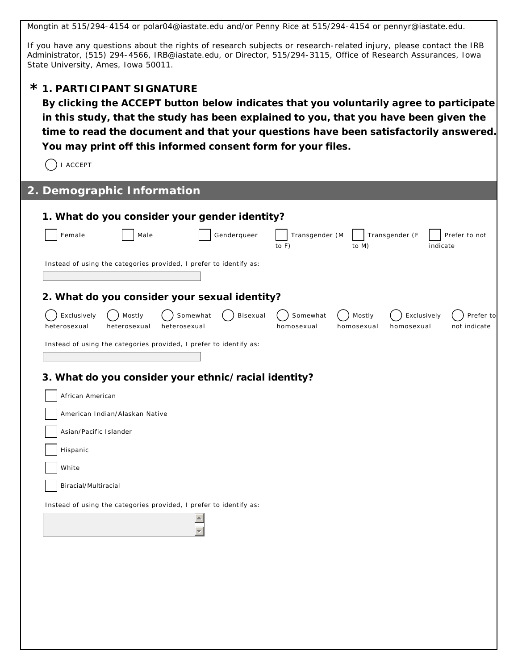Mongtin at 515/294-4154 or polar04@iastate.edu and/or Penny Rice at 515/294-4154 or pennyr@iastate.edu.

If you have any questions about the rights of research subjects or research-related injury, please contact the IRB Administrator, (515) 294-4566, IRB@iastate.edu, or Director, 515/294-3115, Office of Research Assurances, Iowa State University, Ames, Iowa 50011.

## **1. PARTICIPANT SIGNATURE \***

**By clicking the ACCEPT button below indicates that you voluntarily agree to participate in this study, that the study has been explained to you, that you have been given the time to read the document and that your questions have been satisfactorily answered. You may print off this informed consent form for your files.**

 $\bigcap$  I ACCEPT

| 2. Demographic Information                                                                    |                                                                                                          |
|-----------------------------------------------------------------------------------------------|----------------------------------------------------------------------------------------------------------|
| 1. What do you consider your gender identity?                                                 |                                                                                                          |
| Genderqueer<br>Female<br>Male                                                                 | Transgender (M<br>Transgender (F<br>Prefer to not<br>to F)<br>to M)<br>indicate                          |
| Instead of using the categories provided, I prefer to identify as:                            |                                                                                                          |
| 2. What do you consider your sexual identity?                                                 |                                                                                                          |
| Exclusively<br>Mostly<br>Somewhat<br>Bisexual<br>heterosexual<br>heterosexual<br>heterosexual | Somewhat<br>Mostly<br>Exclusively<br>Prefer to<br>not indicate<br>homosexual<br>homosexual<br>homosexual |
| Instead of using the categories provided, I prefer to identify as:                            |                                                                                                          |
| 3. What do you consider your ethnic/racial identity?                                          |                                                                                                          |
| African American                                                                              |                                                                                                          |
| American Indian/Alaskan Native                                                                |                                                                                                          |
| Asian/Pacific Islander                                                                        |                                                                                                          |
| Hispanic                                                                                      |                                                                                                          |
| White                                                                                         |                                                                                                          |
| Biracial/Multiracial                                                                          |                                                                                                          |
| Instead of using the categories provided, I prefer to identify as:                            |                                                                                                          |
|                                                                                               |                                                                                                          |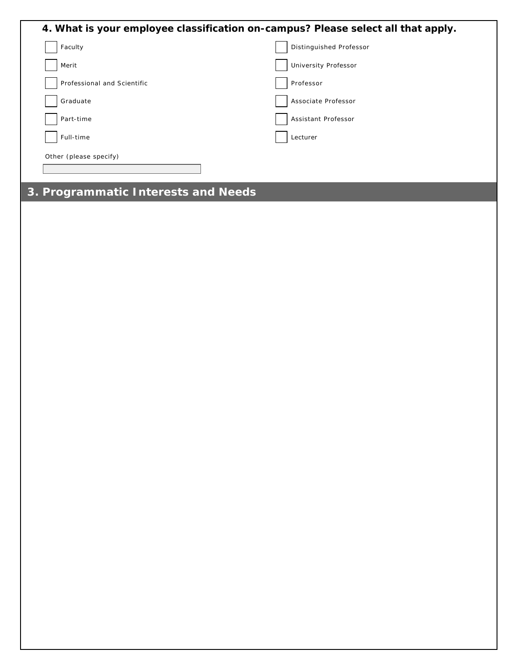| 4. What is your employee classification on-campus? Please select all that apply. |                         |
|----------------------------------------------------------------------------------|-------------------------|
| Faculty                                                                          | Distinguished Professor |
| Merit                                                                            | University Professor    |
| Professional and Scientific                                                      | Professor               |
| Graduate                                                                         | Associate Professor     |
| Part-time                                                                        | Assistant Professor     |
| Full-time                                                                        | Lecturer                |
| Other (please specify)                                                           |                         |
|                                                                                  |                         |

# **3. Programmatic Interests and Needs**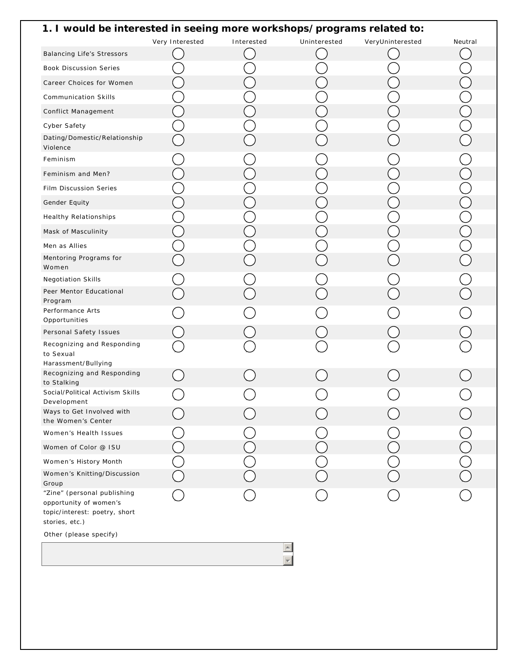| 1. I would be interested in seeing more workshops/programs related to:                                   |                 |            |              |                  |         |
|----------------------------------------------------------------------------------------------------------|-----------------|------------|--------------|------------------|---------|
|                                                                                                          | Very Interested | Interested | Uninterested | VeryUninterested | Neutral |
| <b>Balancing Life's Stressors</b>                                                                        |                 |            |              |                  |         |
| <b>Book Discussion Series</b>                                                                            |                 |            |              |                  |         |
| Career Choices for Women                                                                                 |                 |            |              |                  |         |
| <b>Communication Skills</b>                                                                              |                 |            |              |                  |         |
| Conflict Management                                                                                      |                 |            |              |                  |         |
| Cyber Safety                                                                                             |                 |            |              |                  |         |
| Dating/Domestic/Relationship<br>Violence                                                                 |                 |            |              |                  |         |
| Feminism                                                                                                 |                 |            |              |                  |         |
| Feminism and Men?                                                                                        |                 |            |              |                  |         |
| Film Discussion Series                                                                                   |                 |            |              |                  |         |
| Gender Equity                                                                                            |                 |            |              |                  |         |
| <b>Healthy Relationships</b>                                                                             |                 |            |              |                  |         |
| Mask of Masculinity                                                                                      |                 |            |              |                  |         |
| Men as Allies                                                                                            |                 |            |              |                  |         |
| Mentoring Programs for                                                                                   |                 |            |              |                  |         |
| Women                                                                                                    |                 |            |              |                  |         |
| <b>Negotiation Skills</b><br>Peer Mentor Educational                                                     |                 |            |              |                  |         |
| Program                                                                                                  |                 |            |              |                  |         |
| Performance Arts                                                                                         |                 |            |              |                  |         |
| Opportunities<br>Personal Safety Issues                                                                  |                 |            |              |                  |         |
| Recognizing and Responding                                                                               |                 |            |              |                  |         |
| to Sexual                                                                                                |                 |            |              |                  |         |
| Harassment/Bullying<br>Recognizing and Responding                                                        |                 |            |              |                  |         |
| to Stalking                                                                                              |                 |            |              |                  |         |
| Social/Political Activism Skills<br>Development                                                          |                 |            |              |                  |         |
| Ways to Get Involved with                                                                                |                 |            |              |                  |         |
| the Women's Center                                                                                       |                 |            |              |                  |         |
| Women's Health Issues                                                                                    |                 |            |              |                  |         |
| Women of Color @ ISU                                                                                     |                 |            |              |                  |         |
| Women's History Month                                                                                    |                 |            |              |                  |         |
| Women's Knitting/Discussion<br>Group                                                                     |                 |            |              |                  |         |
| "Zine" (personal publishing<br>opportunity of women's<br>topic/interest: poetry, short<br>stories, etc.) |                 |            |              |                  |         |
| Other (please specify)                                                                                   |                 |            |              |                  |         |

 $\overline{\Xi}$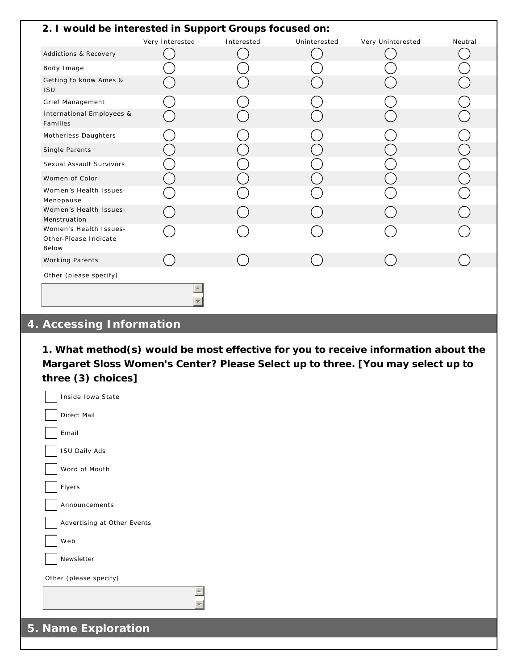| 2. I would be interested in Support Groups focused on:   |                 |            |              |                   |         |
|----------------------------------------------------------|-----------------|------------|--------------|-------------------|---------|
|                                                          | Very Interested | Interested | Uninterested | Very Uninterested | Neutral |
| Addictions & Recovery                                    |                 |            |              |                   |         |
| Body Image                                               |                 |            |              |                   |         |
| Getting to know Ames &<br><b>ISU</b>                     |                 |            |              |                   |         |
| Grief Management                                         |                 |            |              |                   |         |
| International Employees &<br>Families                    |                 |            |              |                   |         |
| Motherless Daughters                                     |                 |            |              |                   |         |
| Single Parents                                           |                 |            |              |                   |         |
| Sexual Assault Survivors                                 |                 |            |              |                   |         |
| Women of Color                                           |                 |            |              |                   |         |
| Women's Health Issues-<br>Menopause                      |                 |            |              |                   |         |
| Women's Health Issues-<br>Menstruation                   |                 |            |              |                   |         |
| Women's Health Issues-<br>Other-Please Indicate<br>Below |                 |            |              |                   |         |
| <b>Working Parents</b>                                   |                 |            |              |                   |         |
| Other (please specify)                                   |                 |            |              |                   |         |
|                                                          |                 |            |              |                   |         |

## **4. Accessing Information**

**1. What method(s) would be most effective for you to receive information about the Margaret Sloss Women's Center? Please Select up to three. [You may select up to three (3) choices]**

| Inside Iowa State           |  |
|-----------------------------|--|
| Direct Mail                 |  |
| Email                       |  |
| <b>ISU Daily Ads</b>        |  |
| Word of Mouth               |  |
| Flyers                      |  |
| Announcements               |  |
| Advertising at Other Events |  |
| Web                         |  |
| Newsletter                  |  |
| Other (please specify)      |  |
|                             |  |
|                             |  |
| 5. Name Exploration         |  |